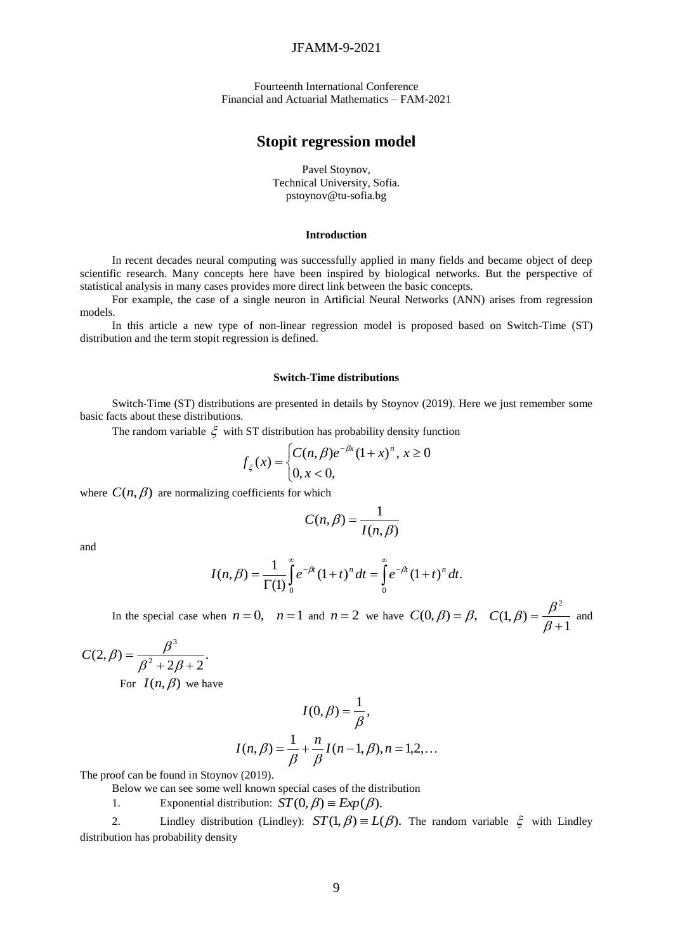# JFAMM-9-2021

Fourteenth International Conference Financial and Actuarial Mathematics – FAM-2021

# **Stopit regression model**

Pavel Stoynov, Technical University, Sofia. [pstoynov@tu-sofia.bg](mailto:pstoynov@tu-sofia.bg)

## **Introduction**

In recent decades neural computing was successfully applied in many fields and became object of deep scientific research. Many concepts here have been inspired by biological networks. But the perspective of statistical analysis in many cases provides more direct link between the basic concepts.

For example, the case of a single neuron in Artificial Neural Networks (ANN) arises from regression models.

In this article a new type of non-linear regression model is proposed based on Switch-Time (ST) distribution and the term stopit regression is defined.

#### **Switch-Time distributions**

Switch-Time (ST) distributions are presented in details by Stoynov (2019). Here we just remember some basic facts about these distributions.

The random variable  $\xi$  with ST distribution has probability density function

$$
f_{\xi}(x) = \begin{cases} C(n, \beta)e^{-\beta x} (1+x)^n, x \ge 0\\ 0, x < 0, \end{cases}
$$

where  $C(n, \beta)$  are normalizing coefficients for which

$$
C(n,\beta) = \frac{1}{I(n,\beta)}
$$

and

$$
I(n,\beta) = \frac{1}{\Gamma(1)} \int_{0}^{\infty} e^{-\beta t} (1+t)^{n} dt = \int_{0}^{\infty} e^{-\beta t} (1+t)^{n} dt.
$$

In the special case when  $n = 0$ ,  $n = 1$  and  $n = 2$  we have  $C(0, \beta) = \beta$ , 1  $(1, \beta)$ 2  $\overline{+}$  $=$  $_{\beta}$  $C(1,\beta) = \frac{\beta^2}{\beta}$  and

$$
C(2, \beta) = \frac{\beta^3}{\beta^2 + 2\beta + 2}.
$$
  
For  $I(n, \beta)$  we have

$$
I(0, \beta) = \frac{1}{\beta},
$$
  

$$
I(n, \beta) = \frac{1}{\beta} + \frac{n}{\beta} I(n-1, \beta), n = 1, 2, ...
$$

The proof can be found in Stoynov (2019).

Below we can see some well known special cases of the distribution

1. Exponential distribution:  $ST(0, \beta) \equiv Exp(\beta)$ .

2. Lindley distribution (Lindley):  $ST(1, \beta) = L(\beta)$ . The random variable  $\xi$  with Lindley distribution has probability density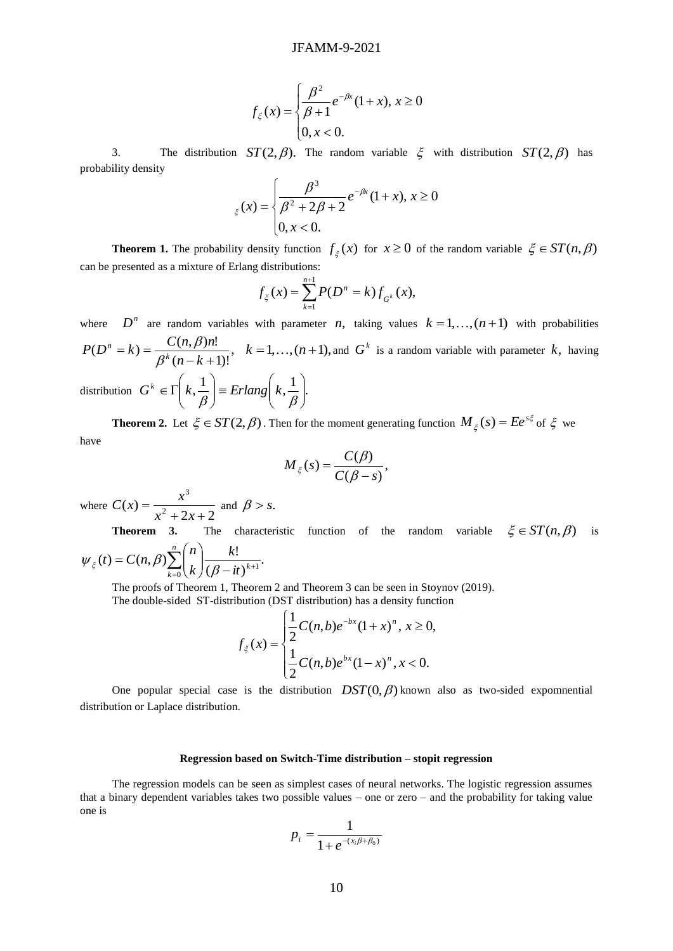$$
f_{\xi}(x) = \begin{cases} \frac{\beta^2}{\beta + 1} e^{-\beta x} (1 + x), & x \ge 0 \\ 0, & x < 0. \end{cases}
$$

3. The distribution  $ST(2, \beta)$ . The random variable  $\xi$  with distribution  $ST(2, \beta)$  has probability density

$$
\xi(x) = \begin{cases} \frac{\beta^3}{\beta^2 + 2\beta + 2} e^{-\beta x} (1+x), & x \ge 0 \\ 0, & x < 0. \end{cases}
$$

**Theorem 1.** The probability density function  $f_\xi(x)$  for  $x \ge 0$  of the random variable  $\xi \in ST(n, \beta)$ can be presented as a mixture of Erlang distributions:

$$
f_{\xi}(x) = \sum_{k=1}^{n+1} P(D^n = k) f_{G^k}(x),
$$

where  $D^n$  are random variables with parameter *n*, taking values  $k = 1, ..., (n + 1)$  with probabilities ,  $(n - k + 1)!$  $(D^n = k) = \frac{C(n, \beta)n!}{2^{k} (n+1)!}$  $-k +$  $= k$ ) =  $n - k$  $P(D^n = k) = \frac{C(n, \beta)n}{\beta^k (n - k)}$ *n*  $_{\beta}$  $\frac{\beta}{n!}$ ,  $k = 1,...,(n+1)$ , and  $G^k$  is a random variable with parameter k, having distribution  $G^k \in \Gamma\left(k, \frac{1}{\beta}\right) \equiv Erlang\left(k, \frac{1}{\beta}\right)$ . J  $\setminus$  $\overline{\phantom{a}}$  $\setminus$  $\vert$  = Erlang $\vert$ J  $\setminus$  $\overline{\phantom{a}}$  $\setminus$  $\in \Gamma$  $\beta$   $\beta$  $G^k \in \Gamma \mid k, \frac{1}{\epsilon} \mid \equiv Erlang \mid k$ 

**Theorem 2.** Let  $\xi \in ST(2,\beta)$ . Then for the moment generating function  $M_{\xi}(s) = Ee^{s\xi}$  $M_{\xi}(s) = Ee^{s\xi}$  of  $\xi$  we have

$$
M_{\xi}(s) = \frac{C(\beta)}{C(\beta - s)},
$$

where  $C(x) = \frac{1}{x^2 + 2x + 2}$  $f(x) = \frac{1}{x^2}$ 3  $+2x+$  $=$  $x^2 + 2x$  $C(x) = \frac{x^3}{x^3}$  and  $\beta > s$ .

**Theorem 3.** The characteristic function of the random variable  $\xi \in ST(n, \beta)$  is .  $(\beta - it)$  $(t) = C(n, \beta) \sum_{n=1}^n {n \choose n} \frac{k!}{(n-1)!}$  $\sum_{k=0}^{\infty} {n \choose k} \frac{k!}{(\beta - it)^{k+1}}$ J  $\setminus$  $\overline{\phantom{a}}$  $\setminus$  $=C(n,\beta)\sum_{n=0}^n\right|$  $\sum_{k=0}^{l} (k)(\beta - it)^k$ *k k n*  $t$   $=$   $C(n)$  $\psi_{\xi}(t) = C(n, \beta) \sum_{k=0}^{\infty} \left( \frac{1}{k} \right) \frac{1}{(\beta)}$ 

The proofs of Theorem 1, Theorem 2 and Theorem 3 can be seen in Stoynov (2019). The double-sided ST-distribution (DST distribution) has a density function

$$
f_{\xi}(x) = \begin{cases} \frac{1}{2}C(n,b)e^{-bx}(1+x)^n, \ x \ge 0, \\ \frac{1}{2}C(n,b)e^{bx}(1-x)^n, \ x < 0. \end{cases}
$$

One popular special case is the distribution  $DST(0, \beta)$  known also as two-sided expomnential distribution or Laplace distribution.

## **Regression based on Switch-Time distribution – stopit regression**

The regression models can be seen as simplest cases of neural networks. The logistic regression assumes that a binary dependent variables takes two possible values – one or zero – and the probability for taking value one is

$$
p_i = \frac{1}{1 + e^{-(x_i \beta + \beta_0)}}
$$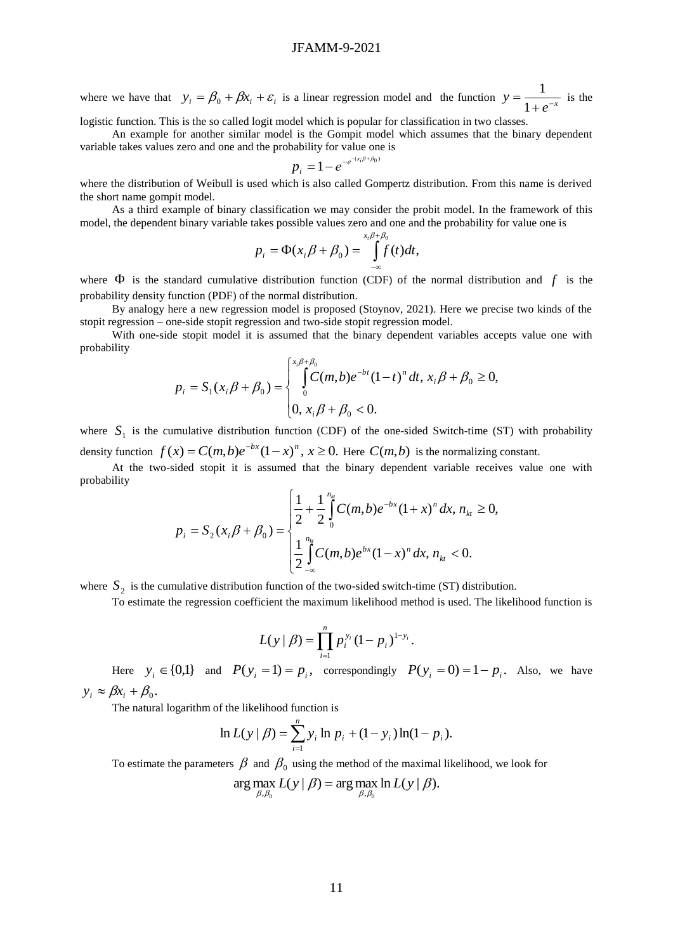# JFAMM-9-2021

where we have that  $y_i = \beta_0 + \beta x_i + \varepsilon_i$  is a linear regression model and the function  $y = \frac{1}{1 + e^{-x}}$  $y = \frac{1}{1+e^{-1}}$ = 1  $\frac{1}{\cdot}$  is the

logistic function. This is the so called logit model which is popular for classification in two classes.

An example for another similar model is the Gompit model which assumes that the binary dependent variable takes values zero and one and the probability for value one is

$$
p_i = 1 - e^{-e^{-(x_i/\beta + \beta_0)}}
$$

where the distribution of Weibull is used which is also called Gompertz distribution. From this name is derived the short name gompit model.

As a third example of binary classification we may consider the probit model. In the framework of this model, the dependent binary variable takes possible values zero and one and the probability for value one is

$$
p_i = \Phi(x_i \beta + \beta_0) = \int_{-\infty}^{x_i \beta + \beta_0} f(t) dt,
$$

where  $\Phi$  is the standard cumulative distribution function (CDF) of the normal distribution and  $f$  is the probability density function (PDF) of the normal distribution.

By analogy here a new regression model is proposed (Stoynov, 2021). Here we precise two kinds of the stopit regression – one-side stopit regression and two-side stopit regression model.

With one-side stopit model it is assumed that the binary dependent variables accepts value one with probability

$$
p_i = S_1(x_i\beta + \beta_0) = \begin{cases} \int_0^{x_i\beta + \beta_0} C(m,b)e^{-bt}(1-t)^n dt, x_i\beta + \beta_0 \ge 0, \\ 0, x_i\beta + \beta_0 < 0. \end{cases}
$$

where  $S_1$  is the cumulative distribution function (CDF) of the one-sided Switch-time (ST) with probability density function  $f(x) = C(m,b)e^{-bx}(1-x)^n$ ,  $x \ge 0$ . Here  $C(m,b)$  is the normalizing constant.

At the two-sided stopit it is assumed that the binary dependent variable receives value one with probability

$$
p_i = S_2(x_i\beta + \beta_0) = \begin{cases} \frac{1}{2} + \frac{1}{2} \int_0^{n_{kt}} C(m,b)e^{-bx}(1+x)^n dx, n_{kt} \ge 0, \\ \frac{1}{2} \int_{-\infty}^{n_{kt}} C(m,b)e^{bx}(1-x)^n dx, n_{kt} < 0. \end{cases}
$$

where  $S_2$  is the cumulative distribution function of the two-sided switch-time (ST) distribution.

To estimate the regression coefficient the maximum likelihood method is used. The likelihood function is

$$
L(y | \beta) = \prod_{i=1}^n p_i^{y_i} (1-p_i)^{1-y_i}.
$$

Here  $y_i \in \{0,1\}$  and  $P(y_i = 1) = p_i$ , correspondingly  $P(y_i = 0) = 1 - p_i$ . Also, we have  $y_i \approx \beta x_i + \beta_0.$ 

The natural logarithm of the likelihood function is

$$
\ln L(y | \beta) = \sum_{i=1}^{n} y_i \ln p_i + (1 - y_i) \ln(1 - p_i).
$$

To estimate the parameters  $\beta$  and  $\beta_0$  using the method of the maximal likelihood, we look for

$$
\arg\max_{\beta,\beta_0} L(y \mid \beta) = \arg\max_{\beta,\beta_0} \ln L(y \mid \beta).
$$